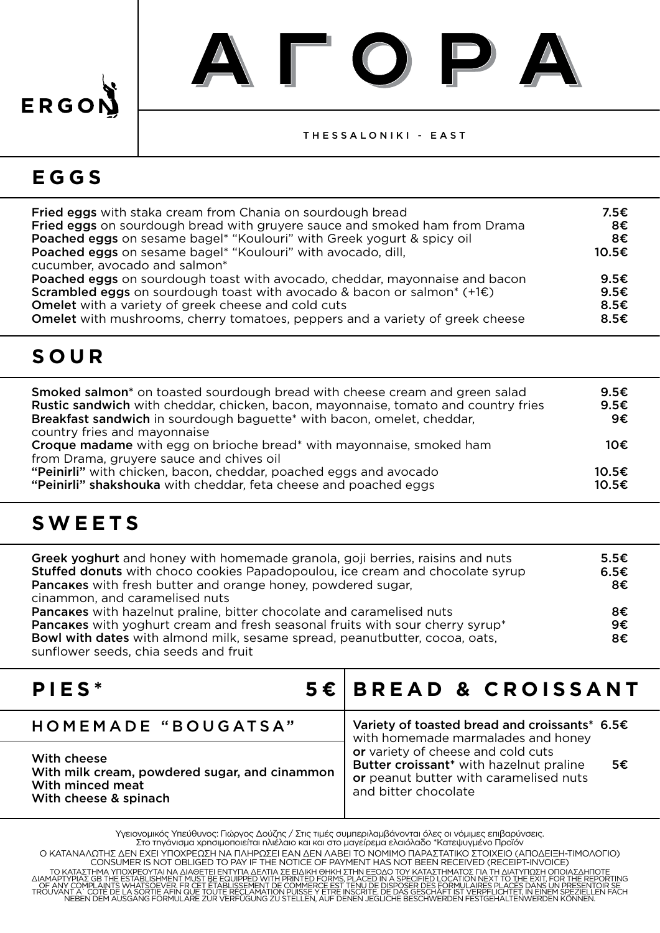# ERGOI

#### THESSALONIKI - EAST

#### **EGGS**

| <b>Fried eggs</b> with staka cream from Chania on sourdough bread<br>Fried eggs on sourdough bread with gruyere sauce and smoked ham from Drama | 7.5€<br>8€     |
|-------------------------------------------------------------------------------------------------------------------------------------------------|----------------|
| Poached eggs on sesame bagel* "Koulouri" with Greek yogurt & spicy oil                                                                          | 8€             |
| Poached eggs on sesame bagel* "Koulouri" with avocado, dill,                                                                                    | 10.5€          |
| cucumber, avocado and salmon*                                                                                                                   |                |
| Poached eggs on sourdough toast with avocado, cheddar, mayonnaise and bacon                                                                     | 9.5E           |
| <b>Scrambled eggs</b> on sourdough toast with avocado & bacon or salmon <sup>*</sup> $(+1)$ $\in$ )                                             | 9.5E           |
| Omelet with a variety of greek cheese and cold cuts                                                                                             | 8.5E           |
| Omelet with mushrooms, cherry tomatoes, peppers and a variety of greek cheese                                                                   | 8.5 $\epsilon$ |

## **SOUR**

| <b>Smoked salmon*</b> on toasted sourdough bread with cheese cream and green salad<br><b>Rustic sandwich</b> with cheddar, chicken, bacon, mayonnaise, tomato and country fries<br>Breakfast sandwich in sourdough baguette* with bacon, omelet, cheddar,<br>country fries and mayonnaise | 9.5E<br>9.5E<br>9€ |
|-------------------------------------------------------------------------------------------------------------------------------------------------------------------------------------------------------------------------------------------------------------------------------------------|--------------------|
| <b>Croque madame</b> with egg on brioche bread <sup>*</sup> with mayonnaise, smoked ham<br>from Drama, gruyere sauce and chives oil                                                                                                                                                       | 10€                |
| "Peinirli" with chicken, bacon, cheddar, poached eggs and avocado<br>"Peinirli" shakshouka with cheddar, feta cheese and poached eggs                                                                                                                                                     | 10.5€<br>10.5€     |

### **SWEETS**

| <b>Greek yoghurt</b> and honey with homemade granola, goji berries, raisins and nuts<br><b>Stuffed donuts</b> with choco cookies Papadopoulou, ice cream and chocolate syrup<br>Pancakes with fresh butter and orange honey, powdered sugar, | 5.5€<br>6.5E<br>8€ |
|----------------------------------------------------------------------------------------------------------------------------------------------------------------------------------------------------------------------------------------------|--------------------|
| cinammon, and caramelised nuts<br>Pancakes with hazelnut praline, bitter chocolate and caramelised nuts<br>Pancakes with yoghurt cream and fresh seasonal fruits with sour cherry syrup*                                                     | 8€<br>9€           |
| Bowl with dates with almond milk, sesame spread, peanutbutter, cocoa, oats,<br>sunflower seeds, chia seeds and fruit                                                                                                                         | 8€                 |

| PIES <sup>*</sup>                                                                                         | 5€ BREAD & CROISSANT                                                                                                                                  |  |
|-----------------------------------------------------------------------------------------------------------|-------------------------------------------------------------------------------------------------------------------------------------------------------|--|
| HOMEMADE "BOUGATSA"                                                                                       | Variety of toasted bread and croissants* 6.5€<br>with homemade marmalades and honey                                                                   |  |
| With cheese<br>With milk cream, powdered sugar, and cinammon<br>With minced meat<br>With cheese & spinach | or variety of cheese and cold cuts<br>Butter croissant* with hazelnut praline<br>5€<br>or peanut butter with caramelised nuts<br>and bitter chocolate |  |

Υγειονομικός Υπεύθυνος: Γιώργος Δούζης / Στις τιμές συμπεριλαμβάνονται όλες οι νόμιμες επιβαρύνσεις. Στο τηγάνισμα χρησιμοποιείται ηλιέλαιο και και στο μαγείρεμα ελαιόλαδο \*Κατεψυγμένο Προϊόν Ο ΚΑΤΑΝΑΛΩΤΗΣ ΔΕΝ ΕΧΕΙ ΥΠΟΧΡΕΩΣΗ ΝΑ ΠΛΗΡΩΣΕΙ ΕΑΝ ΔΕΝ ΛΑΒΕΙ ΤΟ ΝΟΜΙΜΟ ΠΑΡΑΣΤΑΤΙΚΟ ΣΤΟΙΧΕΙΟ (ΑΠΟΔΕΙΞΗ-ΤΙΜΟΛΟΓΙΟ)<br>CONSUMER IS NOT OBLIGED TO PAY IF THE NOTICE OF PAYMENT HAS NOT BEEN RECEIVED (RECEIPT-INVOICE) TO KATAZTHMA YTRIX AN ARABAT AT A MARIA THE ENTYTIA AEATH ENDING TO TOY KATAZTHMATOZ TIA THE AND TO THE ESTABL<br>AIAMAPTYPIAZ GB THE ESTABLISHMENT MUST BE EQUIPPED WITH PRINTED FORMS, PLACED IN A SPECIFIED LOCATION NEXT TO T